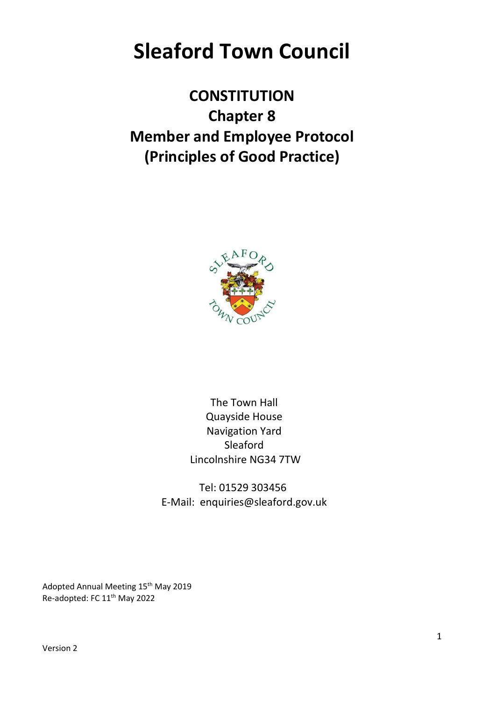# **Sleaford Town Council**

**CONSTITUTION Chapter 8 Member and Employee Protocol (Principles of Good Practice)**



The Town Hall Quayside House Navigation Yard Sleaford Lincolnshire NG34 7TW

Tel: 01529 303456 E-Mail: enquiries@sleaford.gov.uk

Adopted Annual Meeting 15<sup>th</sup> May 2019 Re-adopted: FC 11<sup>th</sup> May 2022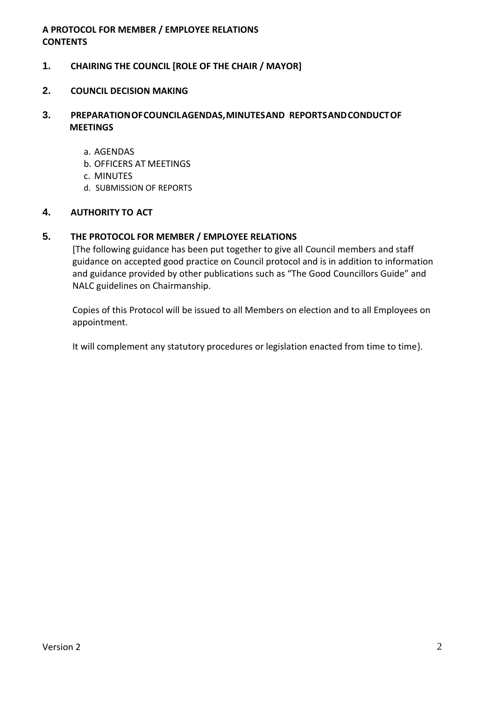## **A PROTOCOL FOR MEMBER / EMPLOYEE RELATIONS CONTENTS**

# **1. CHAIRING THE COUNCIL [ROLE OF THE CHAIR / MAYOR]**

## **2. COUNCIL DECISION MAKING**

# **3. PREPARATIONOFCOUNCILAGENDAS,MINUTESAND REPORTSANDCONDUCTOF MEETINGS**

- a. AGENDAS
- b. OFFICERS AT MEETINGS
- c. MINUTES
- d. SUBMISSION OF REPORTS

#### **4. AUTHORITY TO ACT**

#### **5. THE PROTOCOL FOR MEMBER / EMPLOYEE RELATIONS**

[The following guidance has been put together to give all Council members and staff guidance on accepted good practice on Council protocol and is in addition to information and guidance provided by other publications such as "The Good Councillors Guide" and NALC guidelines on Chairmanship.

Copies of this Protocol will be issued to all Members on election and to all Employees on appointment.

It will complement any statutory procedures or legislation enacted from time to time}.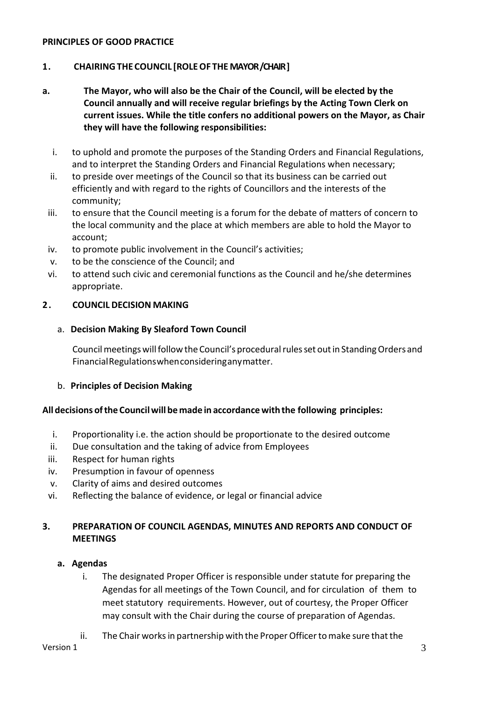## **PRINCIPLES OF GOOD PRACTICE**

# **1. CHAIRINGTHE COUNCIL [ROLEOF THE MAYOR/CHAIR ]**

- **a. The Mayor, who will also be the Chair of the Council, will be elected by the Council annually and will receive regular briefings by the Acting Town Clerk on current issues. While the title confers no additional powers on the Mayor, as Chair they will have the following responsibilities:**
	- i. to uphold and promote the purposes of the Standing Orders and Financial Regulations, and to interpret the Standing Orders and Financial Regulations when necessary;
	- ii. to preside over meetings of the Council so that its business can be carried out efficiently and with regard to the rights of Councillors and the interests of the community;
	- iii. to ensure that the Council meeting is a forum for the debate of matters of concern to the local community and the place at which members are able to hold the Mayor to account;
	- iv. to promote public involvement in the Council's activities;
	- v. to be the conscience of the Council; and
	- vi. to attend such civic and ceremonial functions as the Council and he/she determines appropriate.

## **2 . COUNCIL DECISION MAKING**

## a. **Decision Making By Sleaford Town Council**

Council meetings will follow the Council's procedural rules set out in Standing Orders and FinancialRegulationswhenconsideringanymatter.

## b. **Principles of Decision Making**

## **All decisions ofthe Councilwill be made in accordance with the following principles:**

- i. Proportionality i.e. the action should be proportionate to the desired outcome
- ii. Due consultation and the taking of advice from Employees
- iii. Respect for human rights
- iv. Presumption in favour of openness
- v. Clarity of aims and desired outcomes
- vi. Reflecting the balance of evidence, or legal or financial advice

# **3. PREPARATION OF COUNCIL AGENDAS, MINUTES AND REPORTS AND CONDUCT OF MEETINGS**

## **a. Agendas**

- i. The designated Proper Officer is responsible under statute for preparing the Agendas for all meetings of the Town Council, and for circulation of them to meet statutory requirements. However, out of courtesy, the Proper Officer may consult with the Chair during the course of preparation of Agendas.
- ii. The Chair works in partnership with the Proper Officer to make sure that the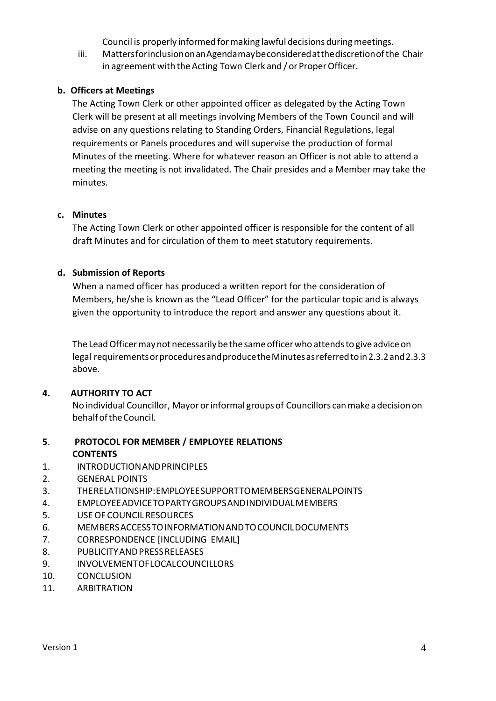Council is properly informed formaking lawful decisions duringmeetings.

iii. MattersforinclusiononanAgendamaybeconsideredatthediscretionofthe Chair in agreement with the Acting Town Clerk and / or Proper Officer.

# **b. Officers at Meetings**

The Acting Town Clerk or other appointed officer as delegated by the Acting Town Clerk will be present at all meetings involving Members of the Town Council and will advise on any questions relating to Standing Orders, Financial Regulations, legal requirements or Panels procedures and will supervise the production of formal Minutes of the meeting. Where for whatever reason an Officer is not able to attend a meeting the meeting is not invalidated. The Chair presides and a Member may take the minutes.

# **c. Minutes**

The Acting Town Clerk or other appointed officer is responsible for the content of all draft Minutes and for circulation of them to meet statutory requirements.

# **d. Submission of Reports**

When a named officer has produced a written report for the consideration of Members, he/she is known as the "Lead Officer" for the particular topic and is always given the opportunity to introduce the report and answer any questions about it.

The Lead Officer may not necessarily be the same officer who attends to give advice on legal requirementsorproceduresandproducetheMinutesasreferredtoin2.3.2and2.3.3 above.

# **4. AUTHORITY TO ACT**

No individual Councillor, Mayor orinformal groupsof Councillors canmakeadecision on behalfoftheCouncil.

# **5**. **PROTOCOL FOR MEMBER / EMPLOYEE RELATIONS CONTENTS**

- 1. INTRODUCTIONANDPRINCIPLES
- 2. GENERAL POINTS
- 3. THERELATIONSHIP:EMPLOYEESUPPORTTOMEMBERSGENERALPOINTS
- 4. EMPLOYEEADVICETOPARTYGROUPSANDINDIVIDUALMEMBERS
- 5. USEOF COUNCIL RESOURCES
- 6. MEMBERSACCESSTOINFORMATIONANDTOCOUNCILDOCUMENTS
- 7. CORRESPONDENCE [INCLUDING EMAIL]
- 8. PUBLICITYANDPRESSRELEASES
- 9. INVOLVEMENTOFLOCALCOUNCILLORS
- 10. CONCLUSION
- 11. ARBITRATION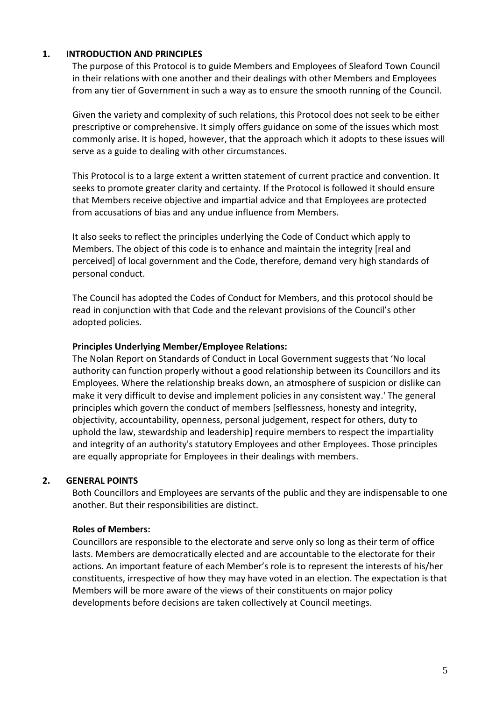# **1. INTRODUCTION AND PRINCIPLES**

The purpose of this Protocol is to guide Members and Employees of Sleaford Town Council in their relations with one another and their dealings with other Members and Employees from any tier of Government in such a way as to ensure the smooth running of the Council.

Given the variety and complexity of such relations, this Protocol does not seek to be either prescriptive or comprehensive. It simply offers guidance on some of the issues which most commonly arise. It is hoped, however, that the approach which it adopts to these issues will serve as a guide to dealing with other circumstances.

This Protocol is to a large extent a written statement of current practice and convention. It seeks to promote greater clarity and certainty. If the Protocol is followed it should ensure that Members receive objective and impartial advice and that Employees are protected from accusations of bias and any undue influence from Members.

It also seeks to reflect the principles underlying the Code of Conduct which apply to Members. The object of this code is to enhance and maintain the integrity [real and perceived] of local government and the Code, therefore, demand very high standards of personal conduct.

The Council has adopted the Codes of Conduct for Members, and this protocol should be read in conjunction with that Code and the relevant provisions of the Council's other adopted policies.

#### **Principles Underlying Member/Employee Relations:**

The Nolan Report on Standards of Conduct in Local Government suggests that 'No local authority can function properly without a good relationship between its Councillors and its Employees. Where the relationship breaks down, an atmosphere of suspicion or dislike can make it very difficult to devise and implement policies in any consistent way.' The general principles which govern the conduct of members [selflessness, honesty and integrity, objectivity, accountability, openness, personal judgement, respect for others, duty to uphold the law, stewardship and leadership] require members to respect the impartiality and integrity of an authority's statutory Employees and other Employees. Those principles are equally appropriate for Employees in their dealings with members.

## **2. GENERAL POINTS**

Both Councillors and Employees are servants of the public and they are indispensable to one another. But their responsibilities are distinct.

#### **Roles of Members:**

Councillors are responsible to the electorate and serve only so long as their term of office lasts. Members are democratically elected and are accountable to the electorate for their actions. An important feature of each Member's role is to represent the interests of his/her constituents, irrespective of how they may have voted in an election. The expectation is that Members will be more aware of the views of their constituents on major policy developments before decisions are taken collectively at Council meetings.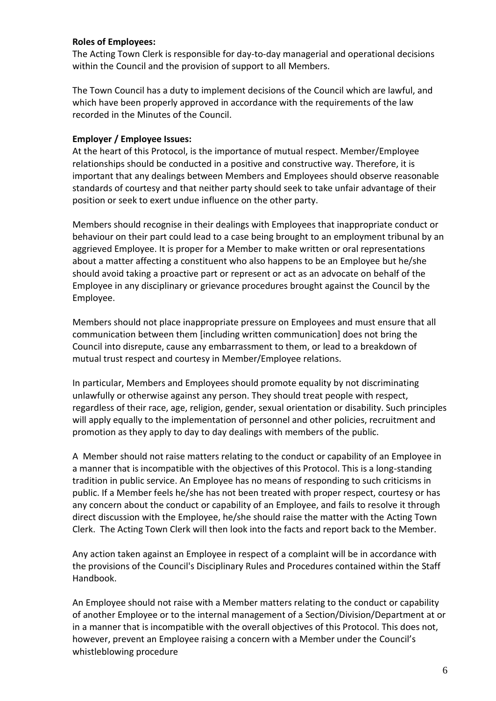## **Roles of Employees:**

The Acting Town Clerk is responsible for day-to-day managerial and operational decisions within the Council and the provision of support to all Members.

The Town Council has a duty to implement decisions of the Council which are lawful, and which have been properly approved in accordance with the requirements of the law recorded in the Minutes of the Council.

## **Employer / Employee Issues:**

At the heart of this Protocol, is the importance of mutual respect. Member/Employee relationships should be conducted in a positive and constructive way. Therefore, it is important that any dealings between Members and Employees should observe reasonable standards of courtesy and that neither party should seek to take unfair advantage of their position or seek to exert undue influence on the other party.

Members should recognise in their dealings with Employees that inappropriate conduct or behaviour on their part could lead to a case being brought to an employment tribunal by an aggrieved Employee. It is proper for a Member to make written or oral representations about a matter affecting a constituent who also happens to be an Employee but he/she should avoid taking a proactive part or represent or act as an advocate on behalf of the Employee in any disciplinary or grievance procedures brought against the Council by the Employee.

Members should not place inappropriate pressure on Employees and must ensure that all communication between them [including written communication] does not bring the Council into disrepute, cause any embarrassment to them, or lead to a breakdown of mutual trust respect and courtesy in Member/Employee relations.

In particular, Members and Employees should promote equality by not discriminating unlawfully or otherwise against any person. They should treat people with respect, regardless of their race, age, religion, gender, sexual orientation or disability. Such principles will apply equally to the implementation of personnel and other policies, recruitment and promotion as they apply to day to day dealings with members of the public.

A Member should not raise matters relating to the conduct or capability of an Employee in a manner that is incompatible with the objectives of this Protocol. This is a long-standing tradition in public service. An Employee has no means of responding to such criticisms in public. If a Member feels he/she has not been treated with proper respect, courtesy or has any concern about the conduct or capability of an Employee, and fails to resolve it through direct discussion with the Employee, he/she should raise the matter with the Acting Town Clerk. The Acting Town Clerk will then look into the facts and report back to the Member.

Any action taken against an Employee in respect of a complaint will be in accordance with the provisions of the Council's Disciplinary Rules and Procedures contained within the Staff Handbook.

An Employee should not raise with a Member matters relating to the conduct or capability of another Employee or to the internal management of a Section/Division/Department at or in a manner that is incompatible with the overall objectives of this Protocol. This does not, however, prevent an Employee raising a concern with a Member under the Council's whistleblowing procedure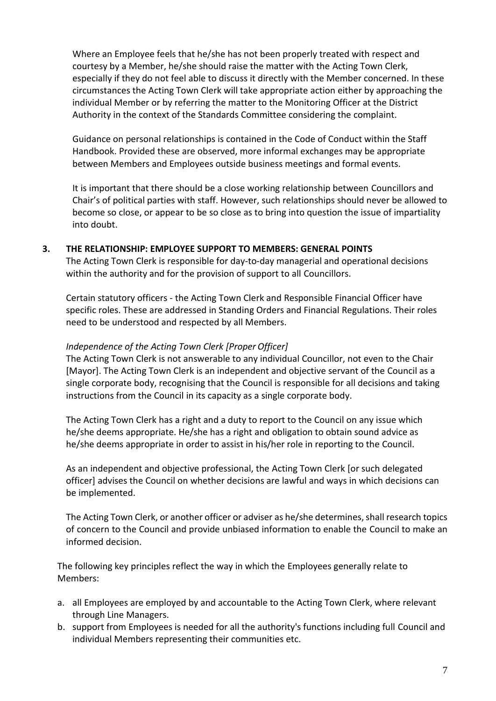Where an Employee feels that he/she has not been properly treated with respect and courtesy by a Member, he/she should raise the matter with the Acting Town Clerk, especially if they do not feel able to discuss it directly with the Member concerned. In these circumstances the Acting Town Clerk will take appropriate action either by approaching the individual Member or by referring the matter to the Monitoring Officer at the District Authority in the context of the Standards Committee considering the complaint.

Guidance on personal relationships is contained in the Code of Conduct within the Staff Handbook. Provided these are observed, more informal exchanges may be appropriate between Members and Employees outside business meetings and formal events.

It is important that there should be a close working relationship between Councillors and Chair's of political parties with staff. However, such relationships should never be allowed to become so close, or appear to be so close as to bring into question the issue of impartiality into doubt.

# **3. THE RELATIONSHIP: EMPLOYEE SUPPORT TO MEMBERS: GENERAL POINTS**

The Acting Town Clerk is responsible for day-to-day managerial and operational decisions within the authority and for the provision of support to all Councillors.

Certain statutory officers - the Acting Town Clerk and Responsible Financial Officer have specific roles. These are addressed in Standing Orders and Financial Regulations. Their roles need to be understood and respected by all Members.

# *Independence of the Acting Town Clerk [Proper Officer]*

The Acting Town Clerk is not answerable to any individual Councillor, not even to the Chair [Mayor]. The Acting Town Clerk is an independent and objective servant of the Council as a single corporate body, recognising that the Council is responsible for all decisions and taking instructions from the Council in its capacity as a single corporate body.

The Acting Town Clerk has a right and a duty to report to the Council on any issue which he/she deems appropriate. He/she has a right and obligation to obtain sound advice as he/she deems appropriate in order to assist in his/her role in reporting to the Council.

As an independent and objective professional, the Acting Town Clerk [or such delegated officer] advises the Council on whether decisions are lawful and ways in which decisions can be implemented.

The Acting Town Clerk, or another officer or adviser as he/she determines, shall research topics of concern to the Council and provide unbiased information to enable the Council to make an informed decision.

The following key principles reflect the way in which the Employees generally relate to Members:

- a. all Employees are employed by and accountable to the Acting Town Clerk, where relevant through Line Managers.
- b. support from Employees is needed for all the authority's functions including full Council and individual Members representing their communities etc.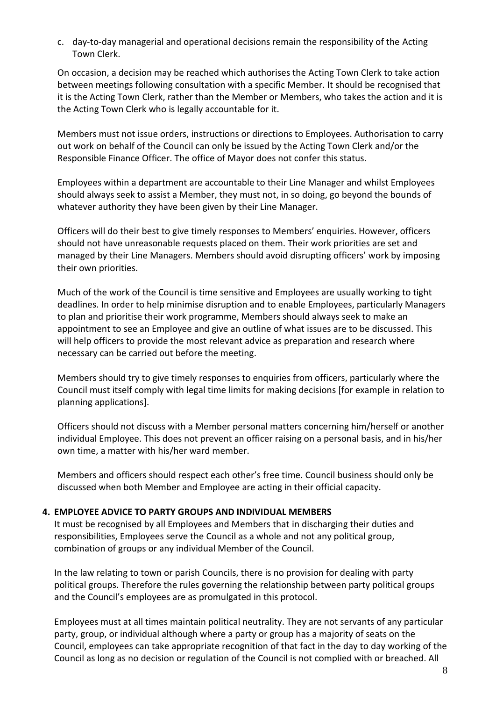c. day-to-day managerial and operational decisions remain the responsibility of the Acting Town Clerk.

On occasion, a decision may be reached which authorises the Acting Town Clerk to take action between meetings following consultation with a specific Member. It should be recognised that it is the Acting Town Clerk, rather than the Member or Members, who takes the action and it is the Acting Town Clerk who is legally accountable for it.

Members must not issue orders, instructions or directions to Employees. Authorisation to carry out work on behalf of the Council can only be issued by the Acting Town Clerk and/or the Responsible Finance Officer. The office of Mayor does not confer this status.

Employees within a department are accountable to their Line Manager and whilst Employees should always seek to assist a Member, they must not, in so doing, go beyond the bounds of whatever authority they have been given by their Line Manager.

Officers will do their best to give timely responses to Members' enquiries. However, officers should not have unreasonable requests placed on them. Their work priorities are set and managed by their Line Managers. Members should avoid disrupting officers' work by imposing their own priorities.

Much of the work of the Council is time sensitive and Employees are usually working to tight deadlines. In order to help minimise disruption and to enable Employees, particularly Managers to plan and prioritise their work programme, Members should always seek to make an appointment to see an Employee and give an outline of what issues are to be discussed. This will help officers to provide the most relevant advice as preparation and research where necessary can be carried out before the meeting.

Members should try to give timely responses to enquiries from officers, particularly where the Council must itself comply with legal time limits for making decisions [for example in relation to planning applications].

Officers should not discuss with a Member personal matters concerning him/herself or another individual Employee. This does not prevent an officer raising on a personal basis, and in his/her own time, a matter with his/her ward member.

Members and officers should respect each other's free time. Council business should only be discussed when both Member and Employee are acting in their official capacity.

# **4. EMPLOYEE ADVICE TO PARTY GROUPS AND INDIVIDUAL MEMBERS**

It must be recognised by all Employees and Members that in discharging their duties and responsibilities, Employees serve the Council as a whole and not any political group, combination of groups or any individual Member of the Council.

In the law relating to town or parish Councils, there is no provision for dealing with party political groups. Therefore the rules governing the relationship between party political groups and the Council's employees are as promulgated in this protocol.

Employees must at all times maintain political neutrality. They are not servants of any particular party, group, or individual although where a party or group has a majority of seats on the Council, employees can take appropriate recognition of that fact in the day to day working of the Council as long as no decision or regulation of the Council is not complied with or breached. All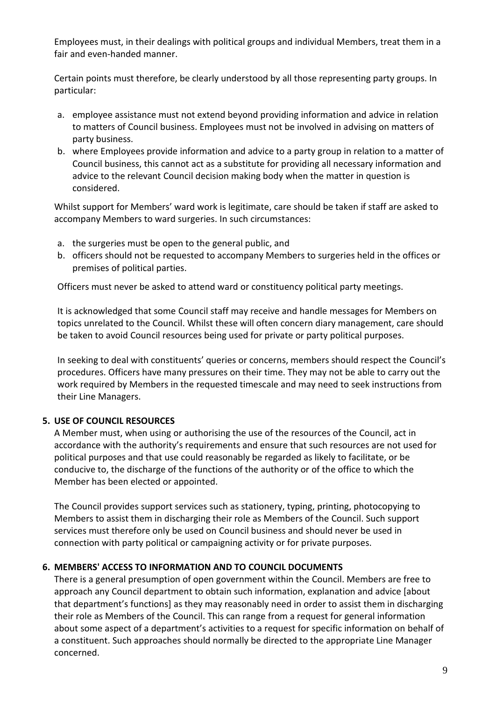Employees must, in their dealings with political groups and individual Members, treat them in a fair and even-handed manner.

Certain points must therefore, be clearly understood by all those representing party groups. In particular:

- a. employee assistance must not extend beyond providing information and advice in relation to matters of Council business. Employees must not be involved in advising on matters of party business.
- b. where Employees provide information and advice to a party group in relation to a matter of Council business, this cannot act as a substitute for providing all necessary information and advice to the relevant Council decision making body when the matter in question is considered.

Whilst support for Members' ward work is legitimate, care should be taken if staff are asked to accompany Members to ward surgeries. In such circumstances:

- a. the surgeries must be open to the general public, and
- b. officers should not be requested to accompany Members to surgeries held in the offices or premises of political parties.

Officers must never be asked to attend ward or constituency political party meetings.

It is acknowledged that some Council staff may receive and handle messages for Members on topics unrelated to the Council. Whilst these will often concern diary management, care should be taken to avoid Council resources being used for private or party political purposes.

In seeking to deal with constituents' queries or concerns, members should respect the Council's procedures. Officers have many pressures on their time. They may not be able to carry out the work required by Members in the requested timescale and may need to seek instructions from their Line Managers.

# **5. USE OF COUNCIL RESOURCES**

A Member must, when using or authorising the use of the resources of the Council, act in accordance with the authority's requirements and ensure that such resources are not used for political purposes and that use could reasonably be regarded as likely to facilitate, or be conducive to, the discharge of the functions of the authority or of the office to which the Member has been elected or appointed.

The Council provides support services such as stationery, typing, printing, photocopying to Members to assist them in discharging their role as Members of the Council. Such support services must therefore only be used on Council business and should never be used in connection with party political or campaigning activity or for private purposes.

# **6. MEMBERS' ACCESS TO INFORMATION AND TO COUNCIL DOCUMENTS**

There is a general presumption of open government within the Council. Members are free to approach any Council department to obtain such information, explanation and advice [about that department's functions] as they may reasonably need in order to assist them in discharging their role as Members of the Council. This can range from a request for general information about some aspect of a department's activities to a request for specific information on behalf of a constituent. Such approaches should normally be directed to the appropriate Line Manager concerned.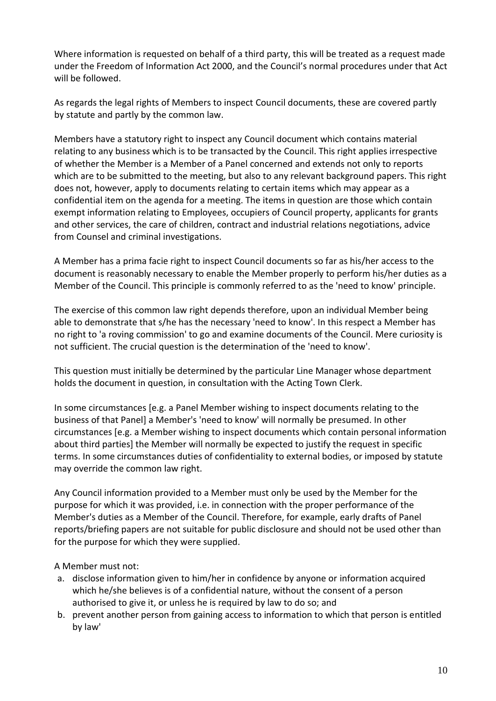Where information is requested on behalf of a third party, this will be treated as a request made under the Freedom of Information Act 2000, and the Council's normal procedures under that Act will be followed.

As regards the legal rights of Members to inspect Council documents, these are covered partly by statute and partly by the common law.

Members have a statutory right to inspect any Council document which contains material relating to any business which is to be transacted by the Council. This right applies irrespective of whether the Member is a Member of a Panel concerned and extends not only to reports which are to be submitted to the meeting, but also to any relevant background papers. This right does not, however, apply to documents relating to certain items which may appear as a confidential item on the agenda for a meeting. The items in question are those which contain exempt information relating to Employees, occupiers of Council property, applicants for grants and other services, the care of children, contract and industrial relations negotiations, advice from Counsel and criminal investigations.

A Member has a prima facie right to inspect Council documents so far as his/her access to the document is reasonably necessary to enable the Member properly to perform his/her duties as a Member of the Council. This principle is commonly referred to as the 'need to know' principle.

The exercise of this common law right depends therefore, upon an individual Member being able to demonstrate that s/he has the necessary 'need to know'. In this respect a Member has no right to 'a roving commission' to go and examine documents of the Council. Mere curiosity is not sufficient. The crucial question is the determination of the 'need to know'.

This question must initially be determined by the particular Line Manager whose department holds the document in question, in consultation with the Acting Town Clerk.

In some circumstances [e.g. a Panel Member wishing to inspect documents relating to the business of that Panel] a Member's 'need to know' will normally be presumed. In other circumstances [e.g. a Member wishing to inspect documents which contain personal information about third parties] the Member will normally be expected to justify the request in specific terms. In some circumstances duties of confidentiality to external bodies, or imposed by statute may override the common law right.

Any Council information provided to a Member must only be used by the Member for the purpose for which it was provided, i.e. in connection with the proper performance of the Member's duties as a Member of the Council. Therefore, for example, early drafts of Panel reports/briefing papers are not suitable for public disclosure and should not be used other than for the purpose for which they were supplied.

A Member must not:

- a. disclose information given to him/her in confidence by anyone or information acquired which he/she believes is of a confidential nature, without the consent of a person authorised to give it, or unless he is required by law to do so; and
- b. prevent another person from gaining access to information to which that person is entitled by law'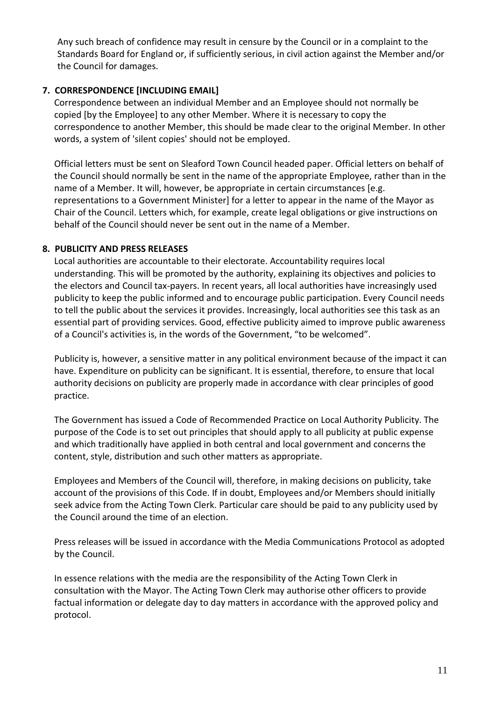Any such breach of confidence may result in censure by the Council or in a complaint to the Standards Board for England or, if sufficiently serious, in civil action against the Member and/or the Council for damages.

# **7. CORRESPONDENCE [INCLUDING EMAIL]**

Correspondence between an individual Member and an Employee should not normally be copied [by the Employee] to any other Member. Where it is necessary to copy the correspondence to another Member, this should be made clear to the original Member. In other words, a system of 'silent copies' should not be employed.

Official letters must be sent on Sleaford Town Council headed paper. Official letters on behalf of the Council should normally be sent in the name of the appropriate Employee, rather than in the name of a Member. It will, however, be appropriate in certain circumstances [e.g. representations to a Government Minister] for a letter to appear in the name of the Mayor as Chair of the Council. Letters which, for example, create legal obligations or give instructions on behalf of the Council should never be sent out in the name of a Member.

# **8. PUBLICITY AND PRESS RELEASES**

Local authorities are accountable to their electorate. Accountability requires local understanding. This will be promoted by the authority, explaining its objectives and policies to the electors and Council tax-payers. In recent years, all local authorities have increasingly used publicity to keep the public informed and to encourage public participation. Every Council needs to tell the public about the services it provides. Increasingly, local authorities see this task as an essential part of providing services. Good, effective publicity aimed to improve public awareness of a Council's activities is, in the words of the Government, "to be welcomed".

Publicity is, however, a sensitive matter in any political environment because of the impact it can have. Expenditure on publicity can be significant. It is essential, therefore, to ensure that local authority decisions on publicity are properly made in accordance with clear principles of good practice.

The Government has issued a Code of Recommended Practice on Local Authority Publicity. The purpose of the Code is to set out principles that should apply to all publicity at public expense and which traditionally have applied in both central and local government and concerns the content, style, distribution and such other matters as appropriate.

Employees and Members of the Council will, therefore, in making decisions on publicity, take account of the provisions of this Code. If in doubt, Employees and/or Members should initially seek advice from the Acting Town Clerk. Particular care should be paid to any publicity used by the Council around the time of an election.

Press releases will be issued in accordance with the Media Communications Protocol as adopted by the Council.

In essence relations with the media are the responsibility of the Acting Town Clerk in consultation with the Mayor. The Acting Town Clerk may authorise other officers to provide factual information or delegate day to day matters in accordance with the approved policy and protocol.